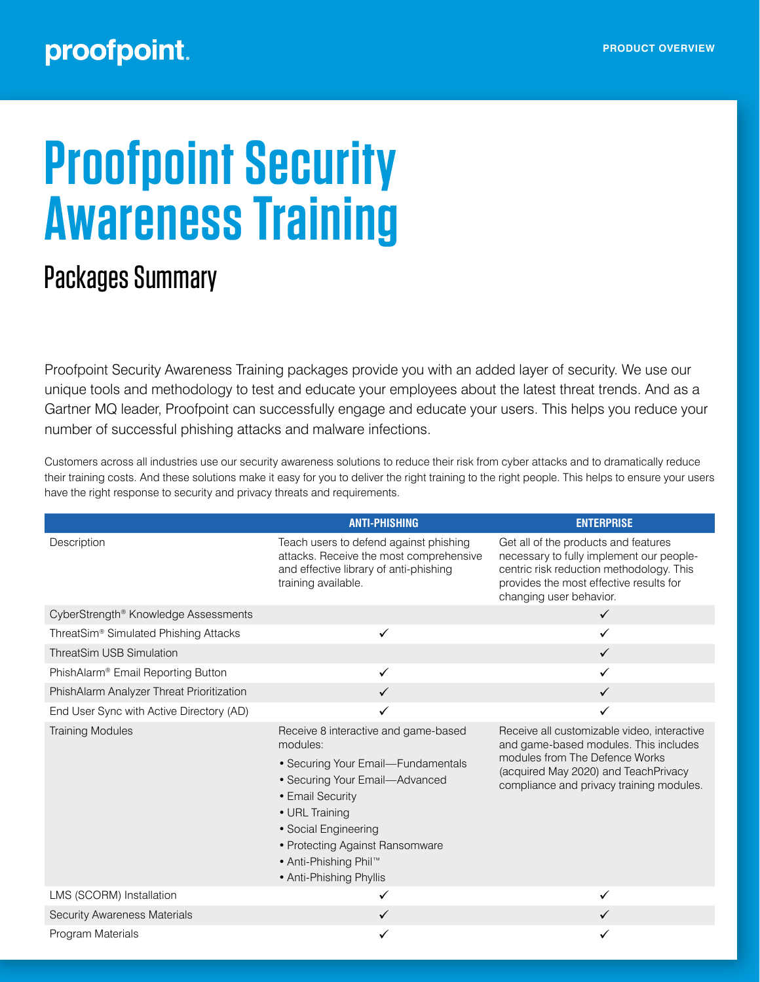## proofpoint.

# **Proofpoint Security Awareness Training**

## Packages Summary

Proofpoint Security Awareness Training packages provide you with an added layer of security. We use our unique tools and methodology to test and educate your employees about the latest threat trends. And as a Gartner MQ leader, Proofpoint can successfully engage and educate your users. This helps you reduce your number of successful phishing attacks and malware infections.

Customers across all industries use our security awareness solutions to reduce their risk from cyber attacks and to dramatically reduce their training costs. And these solutions make it easy for you to deliver the right training to the right people. This helps to ensure your users have the right response to security and privacy threats and requirements.

|                                                   | <b>ANTI-PHISHING</b>                                                                                                                                                                                                                                                                      | <b>ENTERPRISE</b>                                                                                                                                                                                          |
|---------------------------------------------------|-------------------------------------------------------------------------------------------------------------------------------------------------------------------------------------------------------------------------------------------------------------------------------------------|------------------------------------------------------------------------------------------------------------------------------------------------------------------------------------------------------------|
| Description                                       | Teach users to defend against phishing<br>attacks. Receive the most comprehensive<br>and effective library of anti-phishing<br>training available.                                                                                                                                        | Get all of the products and features<br>necessary to fully implement our people-<br>centric risk reduction methodology. This<br>provides the most effective results for<br>changing user behavior.         |
| CyberStrength® Knowledge Assessments              |                                                                                                                                                                                                                                                                                           | $\checkmark$                                                                                                                                                                                               |
| ThreatSim <sup>®</sup> Simulated Phishing Attacks | ✓                                                                                                                                                                                                                                                                                         | $\checkmark$                                                                                                                                                                                               |
| <b>ThreatSim USB Simulation</b>                   |                                                                                                                                                                                                                                                                                           | $\checkmark$                                                                                                                                                                                               |
| PhishAlarm® Email Reporting Button                | ✓                                                                                                                                                                                                                                                                                         | ✓                                                                                                                                                                                                          |
| PhishAlarm Analyzer Threat Prioritization         |                                                                                                                                                                                                                                                                                           | $\checkmark$                                                                                                                                                                                               |
| End User Sync with Active Directory (AD)          | ✓                                                                                                                                                                                                                                                                                         | ✓                                                                                                                                                                                                          |
| <b>Training Modules</b>                           | Receive 8 interactive and game-based<br>modules:<br>• Securing Your Email-Fundamentals<br>• Securing Your Email-Advanced<br>• Email Security<br>• URL Training<br>· Social Engineering<br>• Protecting Against Ransomware<br>● Anti-Phishing Phil <sup>™</sup><br>• Anti-Phishing Phyllis | Receive all customizable video, interactive<br>and game-based modules. This includes<br>modules from The Defence Works<br>(acquired May 2020) and TeachPrivacy<br>compliance and privacy training modules. |
| LMS (SCORM) Installation                          |                                                                                                                                                                                                                                                                                           | ✓                                                                                                                                                                                                          |
| <b>Security Awareness Materials</b>               |                                                                                                                                                                                                                                                                                           |                                                                                                                                                                                                            |
| Program Materials                                 |                                                                                                                                                                                                                                                                                           |                                                                                                                                                                                                            |